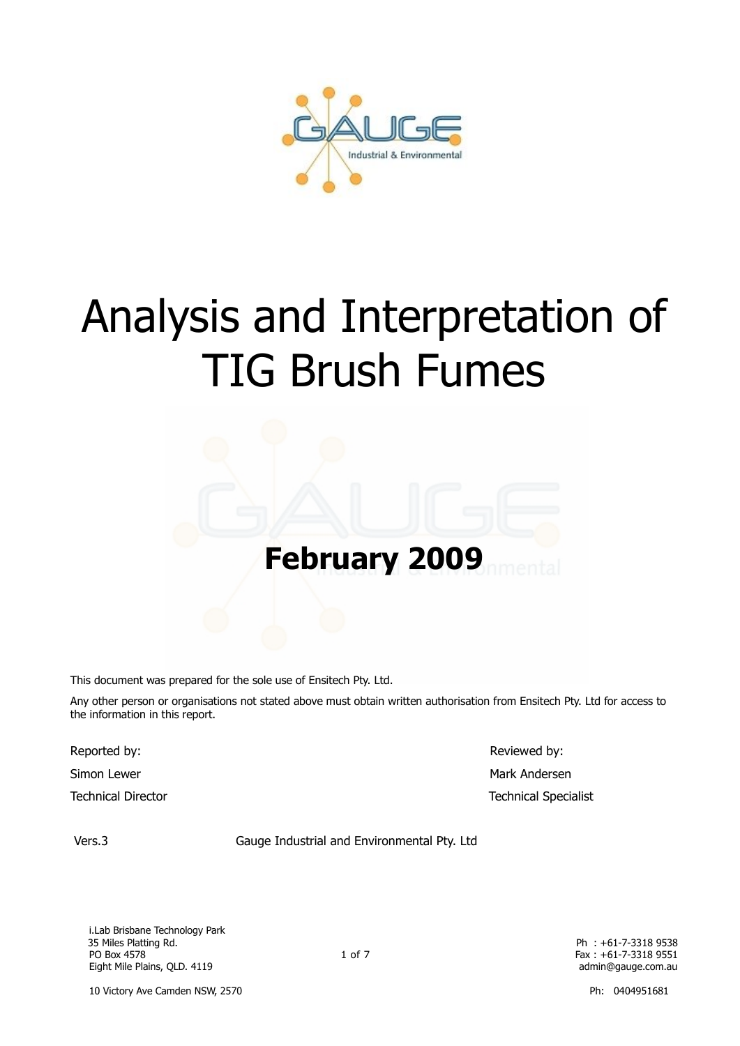

# Analysis and Interpretation of TIG Brush Fumes

# **February 2009**

This document was prepared for the sole use of Ensitech Pty. Ltd.

Any other person or organisations not stated above must obtain written authorisation from Ensitech Pty. Ltd for access to the information in this report.

Reported by:  $\blacksquare$  Reviewed by:

Simon Lewer Mark Andersen Mark Andersen Mark Andersen Mark Andersen Mark Andersen Mark Andersen Mark Andersen Technical Director Technical Specialist

Vers.3 Gauge Industrial and Environmental Pty. Ltd

 i.Lab Brisbane Technology Park PO Box 4578 Fax : +61-7-3318 9551 Eight Mile Plains, QLD. 4119 **admin@gauge.com.au** admin@gauge.com.au admin@gauge.com.au

Ph: +61-7-3318 9538

10 Victory Ave Camden NSW, 2570 **Ph: 0404951681** Ph: 0404951681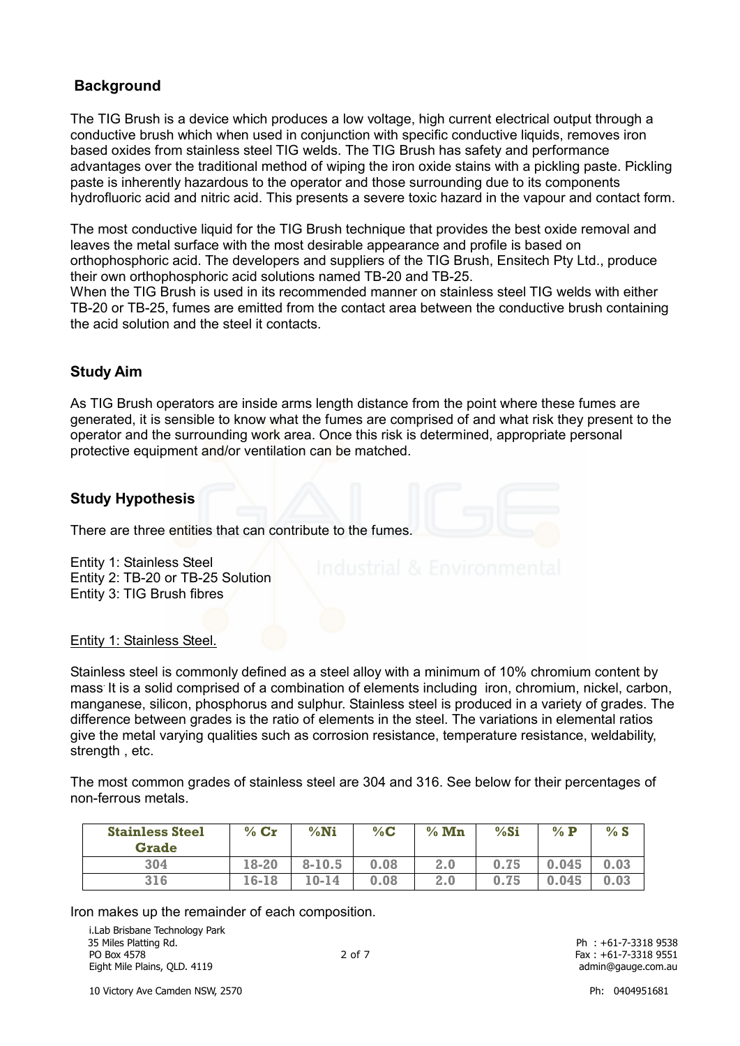# **Background**

The TIG Brush is a device which produces a low voltage, high current electrical output through a conductive brush which when used in conjunction with specific conductive liquids, removes iron based oxides from stainless steel TIG welds. The TIG Brush has safety and performance advantages over the traditional method of wiping the iron oxide stains with a pickling paste. Pickling paste is inherently hazardous to the operator and those surrounding due to its components hydrofluoric acid and nitric acid. This presents a severe toxic hazard in the vapour and contact form.

The most conductive liquid for the TIG Brush technique that provides the best oxide removal and leaves the metal surface with the most desirable appearance and profile is based on orthophosphoric acid. The developers and suppliers of the TIG Brush, Ensitech Pty Ltd., produce their own orthophosphoric acid solutions named TB-20 and TB-25.

When the TIG Brush is used in its recommended manner on stainless steel TIG welds with either TB-20 or TB-25, fumes are emitted from the contact area between the conductive brush containing the acid solution and the steel it contacts.

# **Study Aim**

As TIG Brush operators are inside arms length distance from the point where these fumes are generated, it is sensible to know what the fumes are comprised of and what risk they present to the operator and the surrounding work area. Once this risk is determined, appropriate personal protective equipment and/or ventilation can be matched.

### **Study Hypothesis**

There are three entities that can contribute to the fumes.

Entity 1: Stainless Steel Entity 2: TB-20 or TB-25 Solution Entity 3: TIG Brush fibres

Entity 1: Stainless Steel.

Stainless steel is commonly defined as a steel alloy with a minimum of 10% chromium content by mass. It is a solid comprised of a combination of elements including iron, chromium, nickel, carbon, manganese, silicon, phosphorus and sulphur. Stainless steel is produced in a variety of grades. The difference between grades is the ratio of elements in the steel. The variations in elemental ratios give the metal varying qualities such as corrosion resistance, temperature resistance, weldability, strength , etc.

The most common grades of stainless steel are 304 and 316. See below for their percentages of non-ferrous metals.

| <b>Stainless Steel</b><br><b>Grade</b> | $%$ Cr | %Ni        | %C   | $%$ Mn | %Si  | $%$ $\bf{P}$ | %S   |
|----------------------------------------|--------|------------|------|--------|------|--------------|------|
| 304                                    | 18-20  | $8 - 10.5$ | 0.08 | 2.0    | 0.75 | 0.045        | 0.03 |
| 316                                    | 16-18  | $10 - 14$  | 0.08 | 2.0    | 0.75 | 0.045        | 0.03 |

Iron makes up the remainder of each composition.

i.Lab Brisbane Technology Park<br>35 Miles Platting Rd. PO Box 4578 **Fax : +61-7-3318 9551 PO Box 4578 Fax : +61-7-3318 9551** Eight Mile Plains, QLD. 4119 **admin@gauge.com.au** admin@gauge.com.au admin@gauge.com.au

Ph: +61-7-3318 9538

10 Victory Ave Camden NSW, 2570 Ph: 0404951681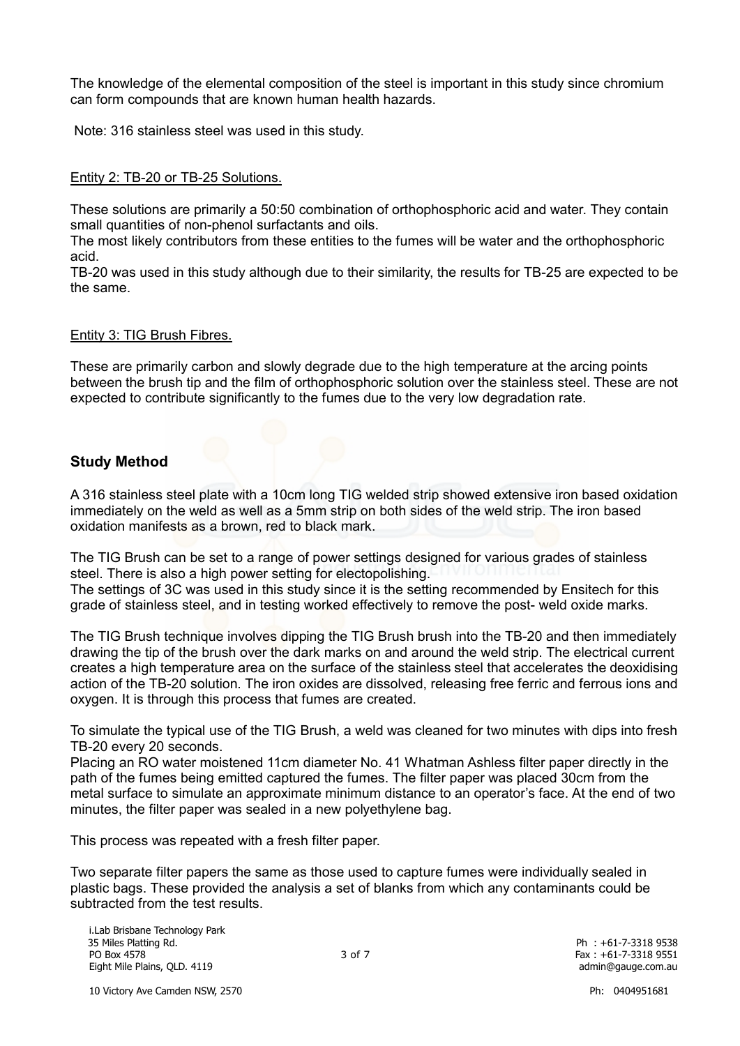The knowledge of the elemental composition of the steel is important in this study since chromium can form compounds that are known human health hazards.

Note: 316 stainless steel was used in this study.

#### Entity 2: TB-20 or TB-25 Solutions.

These solutions are primarily a 50:50 combination of orthophosphoric acid and water. They contain small quantities of non-phenol surfactants and oils.

The most likely contributors from these entities to the fumes will be water and the orthophosphoric acid.

TB-20 was used in this study although due to their similarity, the results for TB-25 are expected to be the same.

#### Entity 3: TIG Brush Fibres.

These are primarily carbon and slowly degrade due to the high temperature at the arcing points between the brush tip and the film of orthophosphoric solution over the stainless steel. These are not expected to contribute significantly to the fumes due to the very low degradation rate.

# **Study Method**

A 316 stainless steel plate with a 10cm long TIG welded strip showed extensive iron based oxidation immediately on the weld as well as a 5mm strip on both sides of the weld strip. The iron based oxidation manifests as a brown, red to black mark.

The TIG Brush can be set to a range of power settings designed for various grades of stainless steel. There is also a high power setting for electopolishing. The settings of 3C was used in this study since it is the setting recommended by Ensitech for this grade of stainless steel, and in testing worked effectively to remove the post- weld oxide marks.

The TIG Brush technique involves dipping the TIG Brush brush into the TB-20 and then immediately drawing the tip of the brush over the dark marks on and around the weld strip. The electrical current creates a high temperature area on the surface of the stainless steel that accelerates the deoxidising action of the TB-20 solution. The iron oxides are dissolved, releasing free ferric and ferrous ions and oxygen. It is through this process that fumes are created.

To simulate the typical use of the TIG Brush, a weld was cleaned for two minutes with dips into fresh TB-20 every 20 seconds.

Placing an RO water moistened 11cm diameter No. 41 Whatman Ashless filter paper directly in the path of the fumes being emitted captured the fumes. The filter paper was placed 30cm from the metal surface to simulate an approximate minimum distance to an operator's face. At the end of two minutes, the filter paper was sealed in a new polyethylene bag.

This process was repeated with a fresh filter paper.

Two separate filter papers the same as those used to capture fumes were individually sealed in plastic bags. These provided the analysis a set of blanks from which any contaminants could be subtracted from the test results.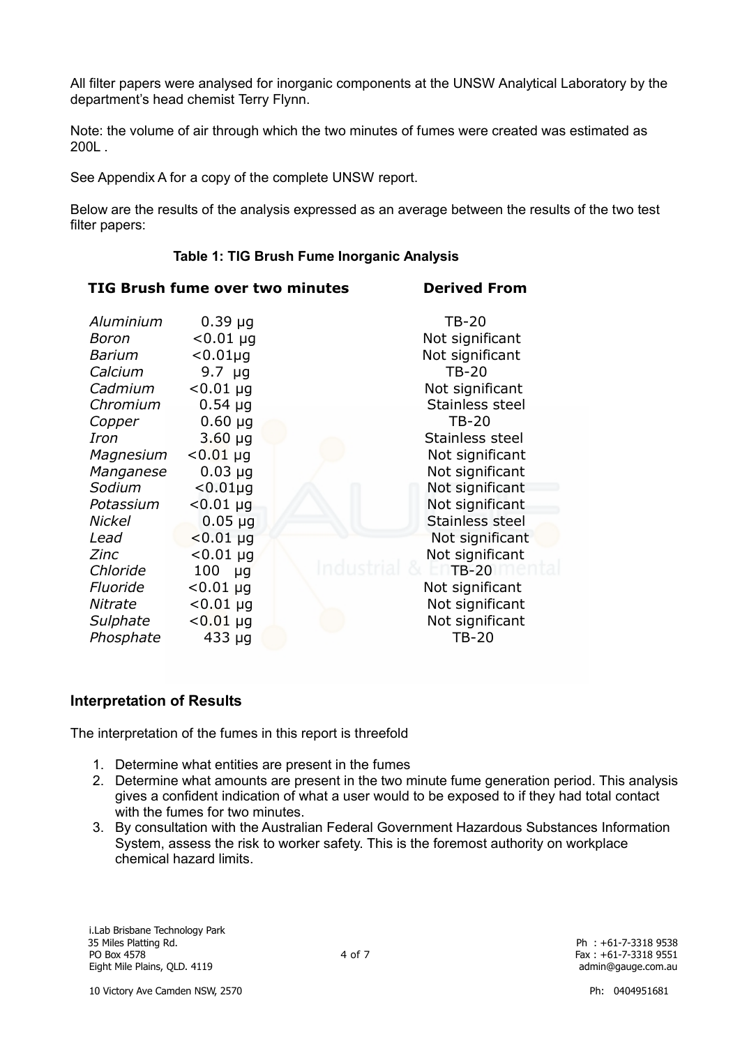All filter papers were analysed for inorganic components at the UNSW Analytical Laboratory by the department's head chemist Terry Flynn.

Note: the volume of air through which the two minutes of fumes were created was estimated as 200L .

See Appendix A for a copy of the complete UNSW report.

Below are the results of the analysis expressed as an average between the results of the two test filter papers:

#### **Table 1: TIG Brush Fume Inorganic Analysis**

**TIG Brush fume over two minutes Derived From**

| Aluminium     | $0.39 \mu g$     | $TB-20$         |
|---------------|------------------|-----------------|
| Boron         | $< 0.01 \mu g$   | Not significant |
| Barium        | $< 0.01 \mu g$   | Not significant |
| Calcium       | $9.7 \mu g$      | $TB-20$         |
| Cadmium       | $< 0.01 \mu g$   | Not significant |
| Chromium      | $0.54 \mu$ g     | Stainless steel |
| Copper        | $0.60 \mu q$     | <b>TB-20</b>    |
| Iron          | $3.60 \mu q$     | Stainless steel |
| Magnesium     | $< 0.01$ µg      | Not significant |
| Manganese     | $0.03 \mu q$     | Not significant |
| Sodium        | $< 0.01 \mu q$   | Not significant |
| Potassium     | $< 0.01 \mu g$   | Not significant |
| <b>Nickel</b> | $0.05 \mu g$     | Stainless steel |
| Lead          | $< 0.01 \mu q$   | Not significant |
| Zinc          | $< 0.01 \mu g$   | Not significant |
| Chloride      | 100<br><b>ug</b> | <b>TB-20</b>    |
| Fluoride      | $< 0.01 \mu g$   | Not significant |
| Nitrate       | $< 0.01$ µg      | Not significant |
| Sulphate      | $< 0.01 \mu g$   | Not significant |
| Phosphate     | $433 \mu g$      | TB-20           |

# **Interpretation of Results**

The interpretation of the fumes in this report is threefold

- 1. Determine what entities are present in the fumes
- 2. Determine what amounts are present in the two minute fume generation period. This analysis gives a confident indication of what a user would to be exposed to if they had total contact with the fumes for two minutes.
- 3. By consultation with the Australian Federal Government Hazardous Substances Information System, assess the risk to worker safety. This is the foremost authority on workplace chemical hazard limits.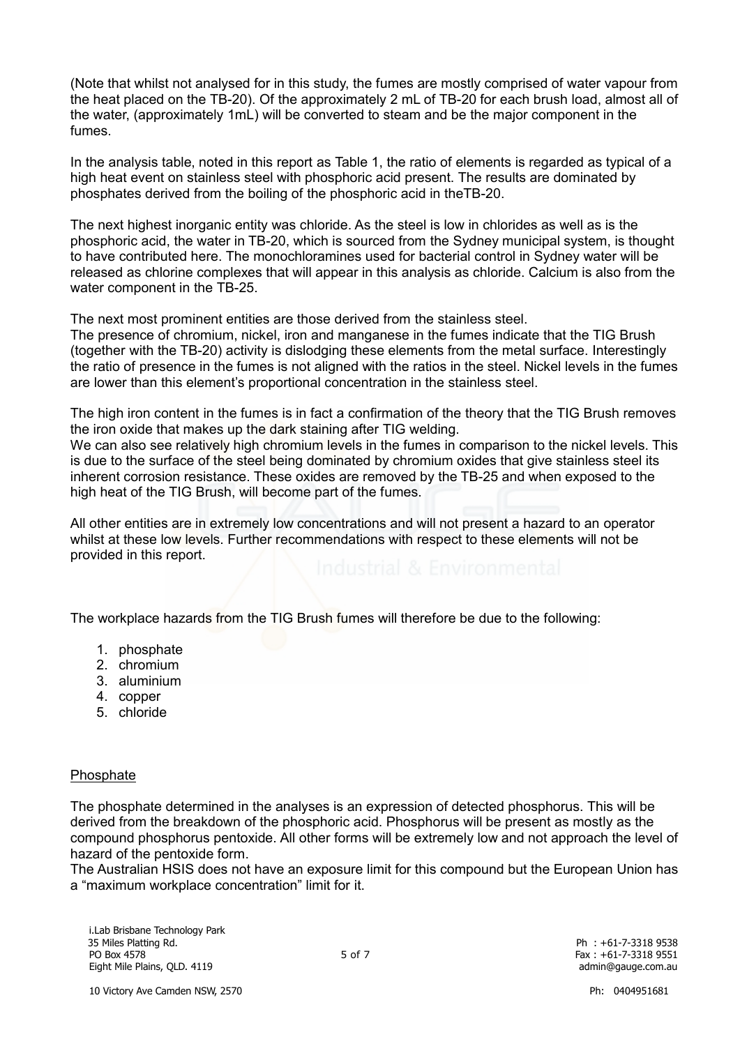(Note that whilst not analysed for in this study, the fumes are mostly comprised of water vapour from the heat placed on the TB-20). Of the approximately 2 mL of TB-20 for each brush load, almost all of the water, (approximately 1mL) will be converted to steam and be the major component in the fumes.

In the analysis table, noted in this report as Table 1, the ratio of elements is regarded as typical of a high heat event on stainless steel with phosphoric acid present. The results are dominated by phosphates derived from the boiling of the phosphoric acid in theTB-20.

The next highest inorganic entity was chloride. As the steel is low in chlorides as well as is the phosphoric acid, the water in TB-20, which is sourced from the Sydney municipal system, is thought to have contributed here. The monochloramines used for bacterial control in Sydney water will be released as chlorine complexes that will appear in this analysis as chloride. Calcium is also from the water component in the TB-25.

The next most prominent entities are those derived from the stainless steel.

The presence of chromium, nickel, iron and manganese in the fumes indicate that the TIG Brush (together with the TB-20) activity is dislodging these elements from the metal surface. Interestingly the ratio of presence in the fumes is not aligned with the ratios in the steel. Nickel levels in the fumes are lower than this element's proportional concentration in the stainless steel.

The high iron content in the fumes is in fact a confirmation of the theory that the TIG Brush removes the iron oxide that makes up the dark staining after TIG welding.

We can also see relatively high chromium levels in the fumes in comparison to the nickel levels. This is due to the surface of the steel being dominated by chromium oxides that give stainless steel its inherent corrosion resistance. These oxides are removed by the TB-25 and when exposed to the high heat of the TIG Brush, will become part of the fumes.

All other entities are in extremely low concentrations and will not present a hazard to an operator whilst at these low levels. Further recommendations with respect to these elements will not be provided in this report.

The workplace hazards from the TIG Brush fumes will therefore be due to the following:

- 1. phosphate
- 2. chromium
- 3. aluminium
- 4. copper
- 5. chloride

#### Phosphate

The phosphate determined in the analyses is an expression of detected phosphorus. This will be derived from the breakdown of the phosphoric acid. Phosphorus will be present as mostly as the compound phosphorus pentoxide. All other forms will be extremely low and not approach the level of hazard of the pentoxide form.

The Australian HSIS does not have an exposure limit for this compound but the European Union has a "maximum workplace concentration" limit for it.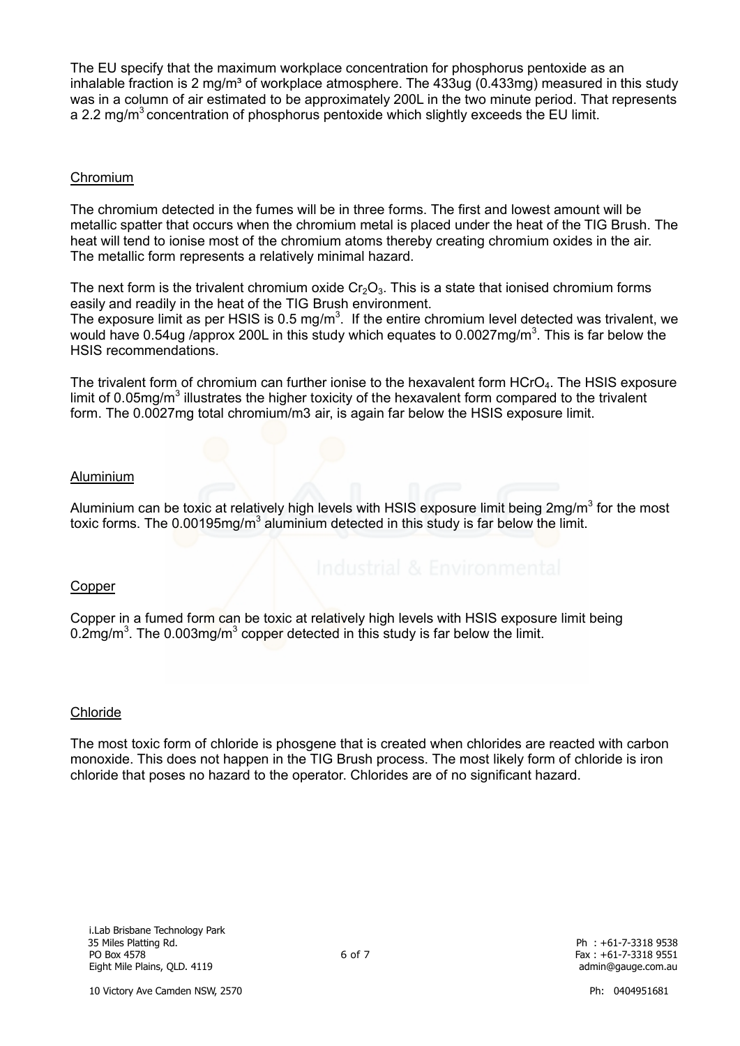The EU specify that the maximum workplace concentration for phosphorus pentoxide as an inhalable fraction is 2 mg/m<sup>3</sup> of workplace atmosphere. The 433ug (0.433mg) measured in this study was in a column of air estimated to be approximately 200L in the two minute period. That represents a 2.2 mg/ $m<sup>3</sup>$  concentration of phosphorus pentoxide which slightly exceeds the EU limit.

#### Chromium

The chromium detected in the fumes will be in three forms. The first and lowest amount will be metallic spatter that occurs when the chromium metal is placed under the heat of the TIG Brush. The heat will tend to ionise most of the chromium atoms thereby creating chromium oxides in the air. The metallic form represents a relatively minimal hazard.

The next form is the trivalent chromium oxide  $Cr_2O_3$ . This is a state that ionised chromium forms easily and readily in the heat of the TIG Brush environment.

The exposure limit as per HSIS is  $0.5 \text{ mg/m}^3$ . If the entire chromium level detected was trivalent, we would have 0.54ug /approx 200L in this study which equates to 0.0027mg/m<sup>3</sup>. This is far below the HSIS recommendations.

The trivalent form of chromium can further ionise to the hexavalent form  $HCrO<sub>4</sub>$ . The HSIS exposure limit of 0.05mg/m<sup>3</sup> illustrates the higher toxicity of the hexavalent form compared to the trivalent form. The 0.0027mg total chromium/m3 air, is again far below the HSIS exposure limit.

#### Aluminium

Aluminium can be toxic at relatively high levels with HSIS exposure limit being  $2$ mg/m<sup>3</sup> for the most toxic forms. The 0.00195mg/m<sup>3</sup> aluminium detected in this study is far below the limit.

#### Copper

Copper in a fumed form can be toxic at relatively high levels with HSIS exposure limit being 0.2mg/m<sup>3</sup>. The 0.003mg/m<sup>3</sup> copper detected in this study is far below the limit.

#### Chloride

The most toxic form of chloride is phosgene that is created when chlorides are reacted with carbon monoxide. This does not happen in the TIG Brush process. The most likely form of chloride is iron chloride that poses no hazard to the operator. Chlorides are of no significant hazard.